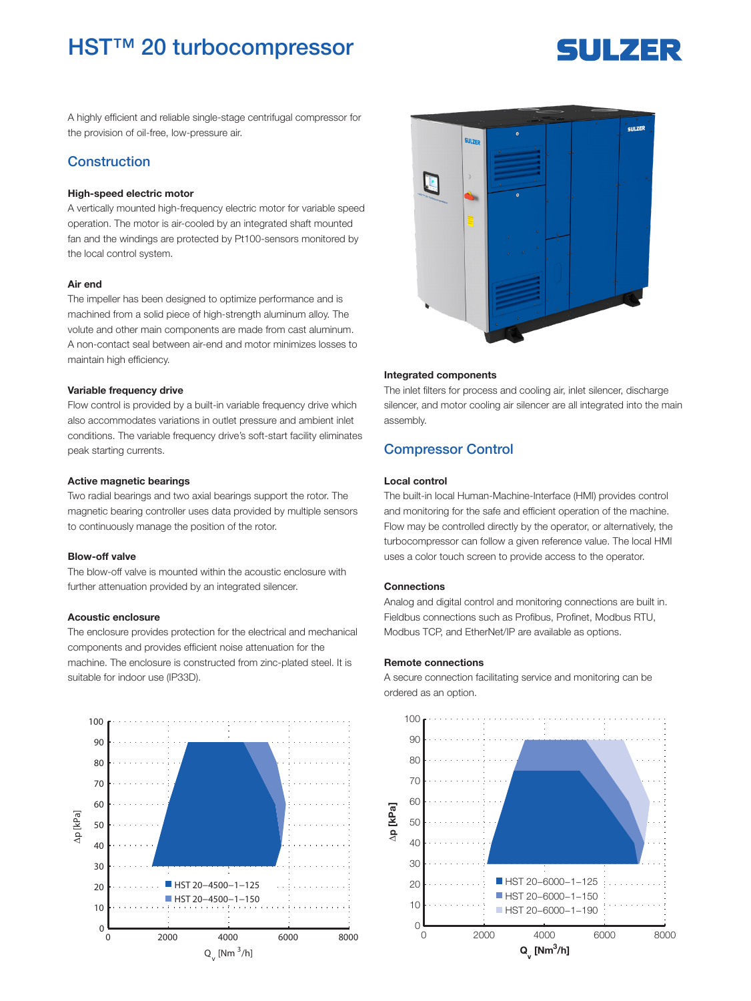## HST™ 20 turbocompressor

# **SULZER**

A highly efficient and reliable single-stage centrifugal compressor for the provision of oil-free, low-pressure air.

## Construction

#### High-speed electric motor

A vertically mounted high-frequency electric motor for variable speed operation. The motor is air-cooled by an integrated shaft mounted fan and the windings are protected by Pt100-sensors monitored by the local control system.

#### Air end

The impeller has been designed to optimize performance and is machined from a solid piece of high-strength aluminum alloy. The volute and other main components are made from cast aluminum. A non-contact seal between air-end and motor minimizes losses to maintain high efficiency.

#### Variable frequency drive

Flow control is provided by a built-in variable frequency drive which also accommodates variations in outlet pressure and ambient inlet conditions. The variable frequency drive's soft-start facility eliminates peak starting currents.

#### Active magnetic bearings

Two radial bearings and two axial bearings support the rotor. The magnetic bearing controller uses data provided by multiple sensors to continuously manage the position of the rotor.

#### Blow-off valve

The blow-off valve is mounted within the acoustic enclosure with further attenuation provided by an integrated silencer.

#### Acoustic enclosure

The enclosure provides protection for the electrical and mechanical components and provides efficient noise attenuation for the machine. The enclosure is constructed from zinc-plated steel. It is suitable for indoor use (IP33D).





#### Integrated components

The inlet filters for process and cooling air, inlet silencer, discharge silencer, and motor cooling air silencer are all integrated into the main assembly.

## Compressor Control

#### Local control

The built-in local Human-Machine-Interface (HMI) provides control and monitoring for the safe and efficient operation of the machine. Flow may be controlled directly by the operator, or alternatively, the turbocompressor can follow a given reference value. The local HMI uses a color touch screen to provide access to the operator.

#### Connections

Analog and digital control and monitoring connections are built in. Fieldbus connections such as Profibus, Profinet, Modbus RTU, Modbus TCP, and EtherNet/IP are available as options.

#### Remote connections

A secure connection facilitating service and monitoring can be ordered as an option.